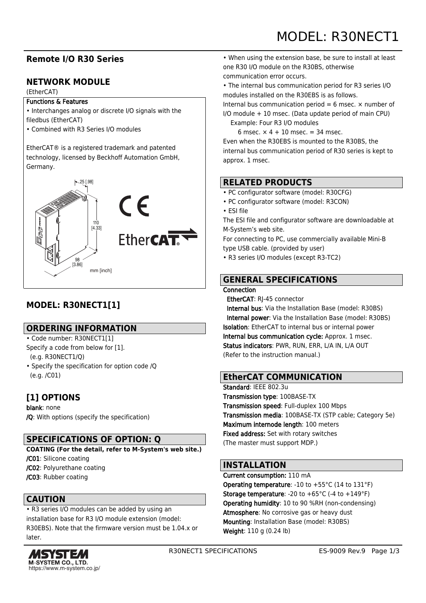# MODEL: R30NECT1

## **Remote I/O R30 Series**

## **NETWORK MODULE**

#### (EtherCAT)

#### Functions & Features

- Interchanges analog or discrete I/O signals with the filedbus (EtherCAT)
- Combined with R3 Series I/O modules

EtherCAT® is a registered trademark and patented technology, licensed by Beckhoff Automation GmbH, Germany.



# **MODEL: R30NECT1[1]**

### **ORDERING INFORMATION**

- Code number: R30NECT1[1]
- Specify a code from below for [1]. (e.g. R30NECT1/Q)
- Specify the specification for option code /Q (e.g. /C01)

# **[1] OPTIONS**

blank: none /Q: With options (specify the specification)

## **SPECIFICATIONS OF OPTION: Q**

- **COATING (For the detail, refer to M-System's web site.)** /C01: Silicone coating /C02: Polyurethane coating
- /C03: Rubber coating

## **CAUTION**

• R3 series I/O modules can be added by using an installation base for R3 I/O module extension (model: R30EBS). Note that the firmware version must be 1.04.x or later.



• When using the extension base, be sure to install at least one R30 I/O module on the R30BS, otherwise communication error occurs.

• The internal bus communication period for R3 series I/O

modules installed on the R30EBS is as follows.

Internal bus communication period = 6 msec.  $\times$  number of I/O module + 10 msec. (Data update period of main CPU)

Example: Four R3 I/O modules

6 msec.  $\times$  4 + 10 msec. = 34 msec.

Even when the R30EBS is mounted to the R30BS, the internal bus communication period of R30 series is kept to approx. 1 msec.

### **RELATED PRODUCTS**

- PC configurator software (model: R30CFG)
- PC configurator software (model: R3CON)
- ESI file

The ESI file and configurator software are downloadable at M-System's web site.

For connecting to PC, use commercially available Mini-B type USB cable. (provided by user)

• R3 series I/O modules (except R3-TC2)

## **GENERAL SPECIFICATIONS**

#### **Connection**

EtherCAT: RJ-45 connector

 Internal bus: Via the Installation Base (model: R30BS) Internal power: Via the Installation Base (model: R30BS) Isolation: EtherCAT to internal bus or internal power Internal bus communication cycle: Approx. 1 msec. Status indicators: PWR, RUN, ERR, L/A IN, L/A OUT (Refer to the instruction manual.)

#### **EtherCAT COMMUNICATION**

Standard: IEEE 802.3u Transmission type: 100BASE-TX Transmission speed: Full-duplex 100 Mbps Transmission media: 100BASE-TX (STP cable; Category 5e) Maximum internode length: 100 meters Fixed address: Set with rotary switches (The master must support MDP.)

### **INSTALLATION**

Current consumption: 110 mA **Operating temperature:** -10 to  $+55^{\circ}$ C (14 to 131 $^{\circ}$ F) **Storage temperature:** -20 to  $+65^{\circ}$ C (-4 to  $+149^{\circ}$ F) Operating humidity: 10 to 90 %RH (non-condensing) Atmosphere: No corrosive gas or heavy dust Mounting: Installation Base (model: R30BS) Weight: 110 g (0.24 lb)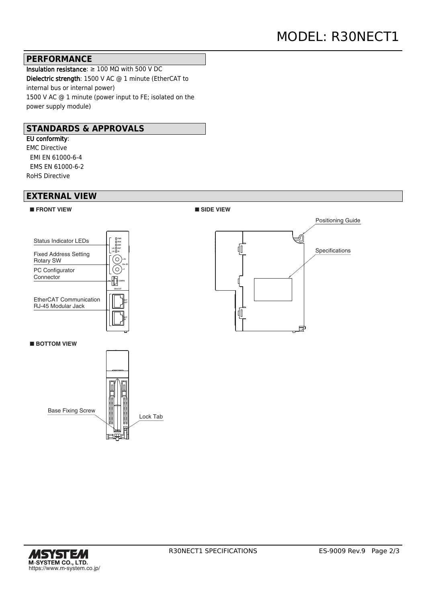#### **PERFORMANCE**

Insulation resistance: ≥ 100 MΩ with 500 V DC Dielectric strength: 1500 V AC @ 1 minute (EtherCAT to internal bus or internal power) 1500 V AC @ 1 minute (power input to FE; isolated on the power supply module)

#### **STANDARDS & APPROVALS**

EU conformity: EMC Directive EMI EN 61000-6-4 EMS EN 61000-6-2 RoHS Directive

#### **EXTERNAL VIEW**





■**BOTTOM VIEW**